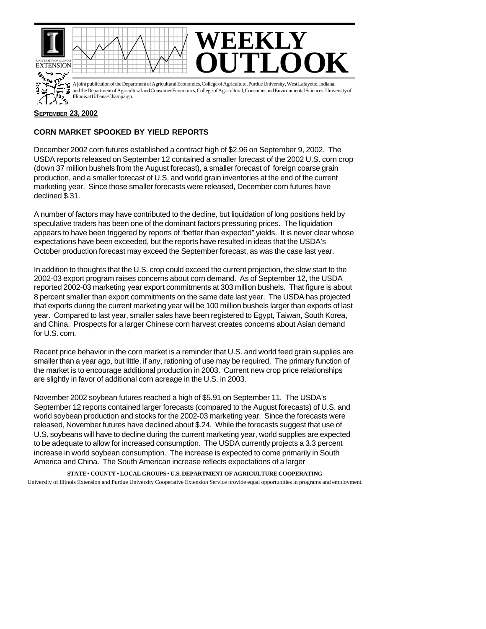

A joint publication of the Department of Agricultural Economics, College of Agriculture, Purdue University, West Lafayette, Indiana, and the Department of Agricultural and Consumer Economics, College of Agricultural, Consumer and Environmental Sciences, University of تاريخ<br>م Illinois at Urbana-Champaign.

## **SEPTEMBER 23, 2002**

## **CORN MARKET SPOOKED BY YIELD REPORTS**

December 2002 corn futures established a contract high of \$2.96 on September 9, 2002. The USDA reports released on September 12 contained a smaller forecast of the 2002 U.S. corn crop (down 37 million bushels from the August forecast), a smaller forecast of foreign coarse grain production, and a smaller forecast of U.S. and world grain inventories at the end of the current marketing year. Since those smaller forecasts were released, December corn futures have declined \$.31.

A number of factors may have contributed to the decline, but liquidation of long positions held by speculative traders has been one of the dominant factors pressuring prices. The liquidation appears to have been triggered by reports of "better than expected" yields. It is never clear whose expectations have been exceeded, but the reports have resulted in ideas that the USDA's October production forecast may exceed the September forecast, as was the case last year.

In addition to thoughts that the U.S. crop could exceed the current projection, the slow start to the 2002-03 export program raises concerns about corn demand. As of September 12, the USDA reported 2002-03 marketing year export commitments at 303 million bushels. That figure is about 8 percent smaller than export commitments on the same date last year. The USDA has projected that exports during the current marketing year will be 100 million bushels larger than exports of last year. Compared to last year, smaller sales have been registered to Egypt, Taiwan, South Korea, and China. Prospects for a larger Chinese corn harvest creates concerns about Asian demand for U.S. corn.

Recent price behavior in the corn market is a reminder that U.S. and world feed grain supplies are smaller than a year ago, but little, if any, rationing of use may be required. The primary function of the market is to encourage additional production in 2003. Current new crop price relationships are slightly in favor of additional corn acreage in the U.S. in 2003.

November 2002 soybean futures reached a high of \$5.91 on September 11. The USDA's September 12 reports contained larger forecasts (compared to the August forecasts) of U.S. and world soybean production and stocks for the 2002-03 marketing year. Since the forecasts were released, November futures have declined about \$.24. While the forecasts suggest that use of U.S. soybeans will have to decline during the current marketing year, world supplies are expected to be adequate to allow for increased consumption. The USDA currently projects a 3.3 percent increase in world soybean consumption. The increase is expected to come primarily in South America and China. The South American increase reflects expectations of a larger

**STATE • COUNTY • LOCAL GROUPS • U.S. DEPARTMENT OF AGRICULTURE COOPERATING** University of Illinois Extension and Purdue University Cooperative Extension Service provide equal opportunities in programs and employment.